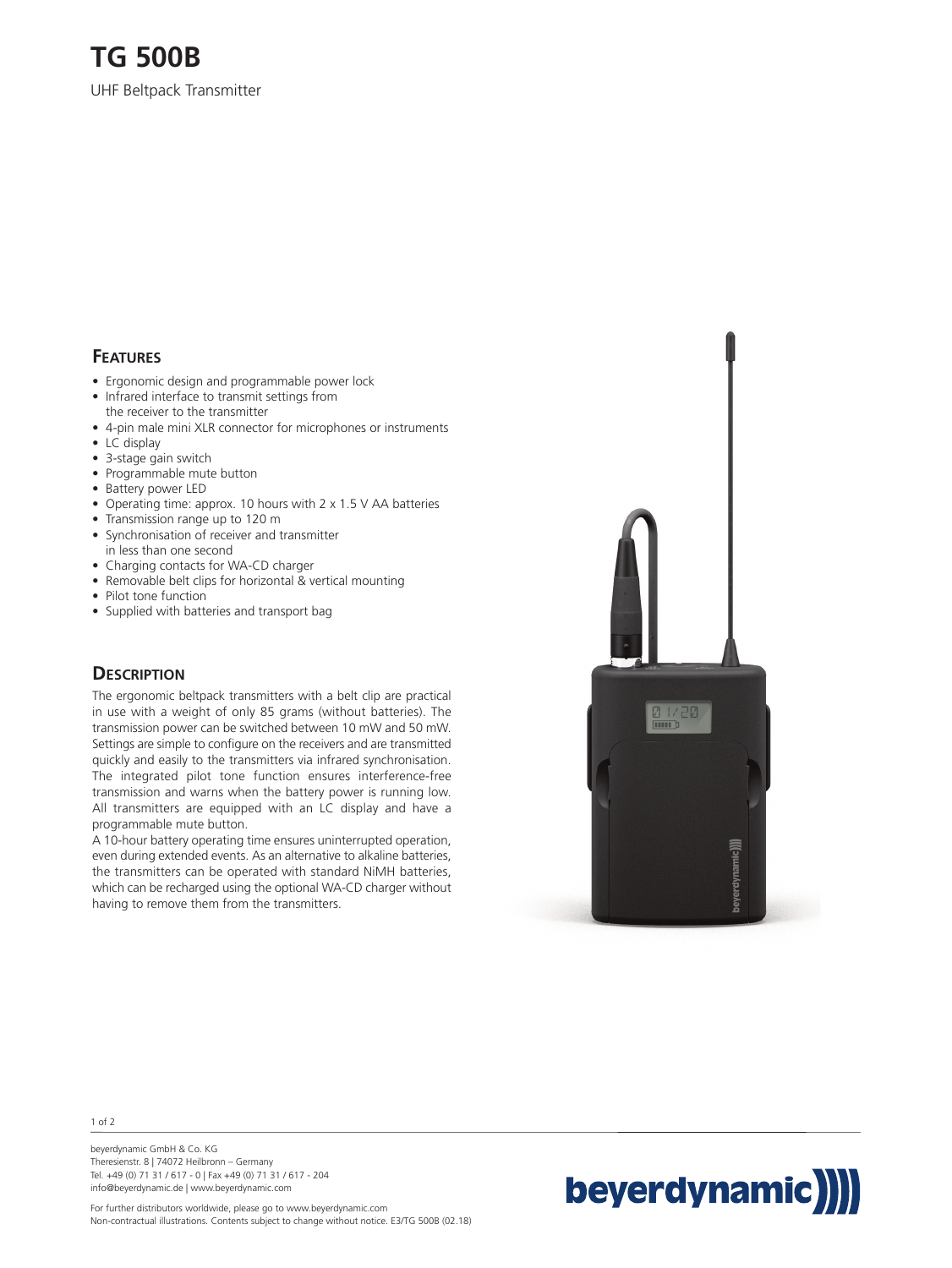# **TG 500B**

UHF Beltpack Transmitter

### **FEATURES**

- Ergonomic design and programmable power lock
- Infrared interface to transmit settings from the receiver to the transmitter
- 4-pin male mini XLR connector for microphones or instruments
- LC display
- 3-stage gain switch
- Programmable mute button
- Battery power LED
- Operating time: approx. 10 hours with 2 x 1.5 V AA batteries
- Transmission range up to 120 m • Synchronisation of receiver and transmitter in less than one second
- Charging contacts for WA-CD charger
- Removable belt clips for horizontal & vertical mounting
- Pilot tone function
- Supplied with batteries and transport bag

#### **DESCRIPTION**

The ergonomic beltpack transmitters with a belt clip are practical in use with a weight of only 85 grams (without batteries). The transmission power can be switched between 10 mW and 50 mW. Settings are simple to configure on the receivers and are transmitted quickly and easily to the transmitters via infrared synchronisation. The integrated pilot tone function ensures interference-free transmission and warns when the battery power is running low. All transmitters are equipped with an LC display and have a programmable mute button.

A 10-hour battery operating time ensures uninterrupted operation, even during extended events. As an alternative to alkaline batteries, the transmitters can be operated with standard NiMH batteries, which can be recharged using the optional WA-CD charger without having to remove them from the transmitters.





beyerdynamic GmbH & Co. KG Theresienstr. 8 | 74072 Heilbronn – Germany Tel. +49 (0) 71 31 / 617 - 0 | Fax +49 (0) 71 31 / 617 - 204 info@beyerdynamic.de | www.beyerdynamic.com



For further distributors worldwide, please go to www.beyerdynamic.com Non-contractual illustrations. Contents subject to change without notice. E3/TG 500B (02.18)